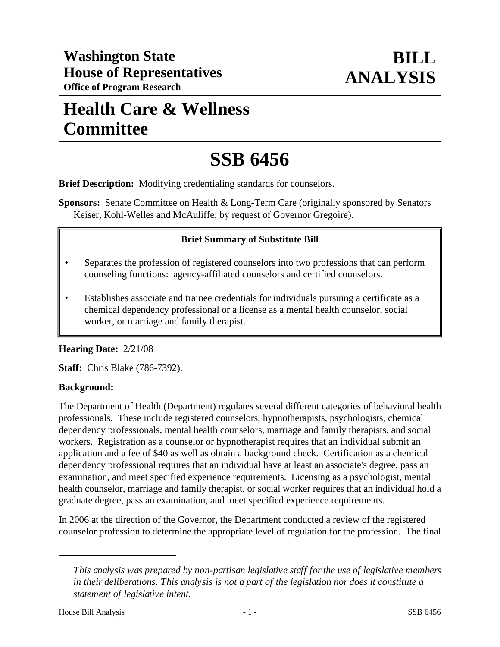## **Health Care & Wellness Committee**

# **SSB 6456**

**Brief Description:** Modifying credentialing standards for counselors.

**Sponsors:** Senate Committee on Health & Long-Term Care (originally sponsored by Senators Keiser, Kohl-Welles and McAuliffe; by request of Governor Gregoire).

#### **Brief Summary of Substitute Bill**

- Separates the profession of registered counselors into two professions that can perform counseling functions: agency-affiliated counselors and certified counselors.
- Establishes associate and trainee credentials for individuals pursuing a certificate as a chemical dependency professional or a license as a mental health counselor, social worker, or marriage and family therapist.

#### **Hearing Date:** 2/21/08

**Staff:** Chris Blake (786-7392).

#### **Background:**

The Department of Health (Department) regulates several different categories of behavioral health professionals. These include registered counselors, hypnotherapists, psychologists, chemical dependency professionals, mental health counselors, marriage and family therapists, and social workers. Registration as a counselor or hypnotherapist requires that an individual submit an application and a fee of \$40 as well as obtain a background check. Certification as a chemical dependency professional requires that an individual have at least an associate's degree, pass an examination, and meet specified experience requirements. Licensing as a psychologist, mental health counselor, marriage and family therapist, or social worker requires that an individual hold a graduate degree, pass an examination, and meet specified experience requirements.

In 2006 at the direction of the Governor, the Department conducted a review of the registered counselor profession to determine the appropriate level of regulation for the profession. The final

*This analysis was prepared by non-partisan legislative staff for the use of legislative members in their deliberations. This analysis is not a part of the legislation nor does it constitute a statement of legislative intent.*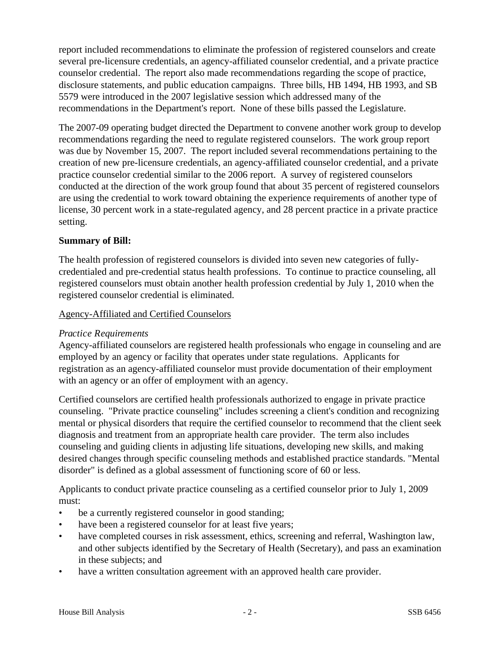report included recommendations to eliminate the profession of registered counselors and create several pre-licensure credentials, an agency-affiliated counselor credential, and a private practice counselor credential. The report also made recommendations regarding the scope of practice, disclosure statements, and public education campaigns. Three bills, HB 1494, HB 1993, and SB 5579 were introduced in the 2007 legislative session which addressed many of the recommendations in the Department's report. None of these bills passed the Legislature.

The 2007-09 operating budget directed the Department to convene another work group to develop recommendations regarding the need to regulate registered counselors. The work group report was due by November 15, 2007. The report included several recommendations pertaining to the creation of new pre-licensure credentials, an agency-affiliated counselor credential, and a private practice counselor credential similar to the 2006 report. A survey of registered counselors conducted at the direction of the work group found that about 35 percent of registered counselors are using the credential to work toward obtaining the experience requirements of another type of license, 30 percent work in a state-regulated agency, and 28 percent practice in a private practice setting.

### **Summary of Bill:**

The health profession of registered counselors is divided into seven new categories of fullycredentialed and pre-credential status health professions. To continue to practice counseling, all registered counselors must obtain another health profession credential by July 1, 2010 when the registered counselor credential is eliminated.

#### Agency-Affiliated and Certified Counselors

#### *Practice Requirements*

Agency-affiliated counselors are registered health professionals who engage in counseling and are employed by an agency or facility that operates under state regulations. Applicants for registration as an agency-affiliated counselor must provide documentation of their employment with an agency or an offer of employment with an agency.

Certified counselors are certified health professionals authorized to engage in private practice counseling. "Private practice counseling" includes screening a client's condition and recognizing mental or physical disorders that require the certified counselor to recommend that the client seek diagnosis and treatment from an appropriate health care provider. The term also includes counseling and guiding clients in adjusting life situations, developing new skills, and making desired changes through specific counseling methods and established practice standards. "Mental disorder" is defined as a global assessment of functioning score of 60 or less.

Applicants to conduct private practice counseling as a certified counselor prior to July 1, 2009 must:

- be a currently registered counselor in good standing;
- have been a registered counselor for at least five years;
- have completed courses in risk assessment, ethics, screening and referral, Washington law, and other subjects identified by the Secretary of Health (Secretary), and pass an examination in these subjects; and
- have a written consultation agreement with an approved health care provider.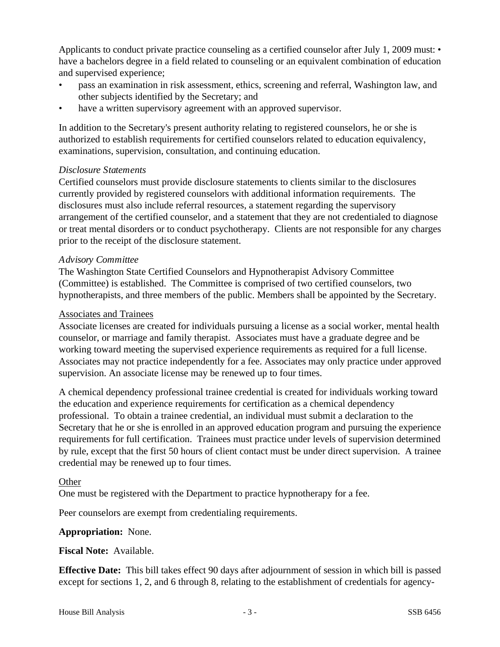Applicants to conduct private practice counseling as a certified counselor after July 1, 2009 must: • have a bachelors degree in a field related to counseling or an equivalent combination of education and supervised experience;

- pass an examination in risk assessment, ethics, screening and referral, Washington law, and other subjects identified by the Secretary; and
- have a written supervisory agreement with an approved supervisor.

In addition to the Secretary's present authority relating to registered counselors, he or she is authorized to establish requirements for certified counselors related to education equivalency, examinations, supervision, consultation, and continuing education.

### *Disclosure Statements*

Certified counselors must provide disclosure statements to clients similar to the disclosures currently provided by registered counselors with additional information requirements. The disclosures must also include referral resources, a statement regarding the supervisory arrangement of the certified counselor, and a statement that they are not credentialed to diagnose or treat mental disorders or to conduct psychotherapy. Clients are not responsible for any charges prior to the receipt of the disclosure statement.

#### *Advisory Committee*

The Washington State Certified Counselors and Hypnotherapist Advisory Committee (Committee) is established. The Committee is comprised of two certified counselors, two hypnotherapists, and three members of the public. Members shall be appointed by the Secretary.

#### Associates and Trainees

Associate licenses are created for individuals pursuing a license as a social worker, mental health counselor, or marriage and family therapist. Associates must have a graduate degree and be working toward meeting the supervised experience requirements as required for a full license. Associates may not practice independently for a fee. Associates may only practice under approved supervision. An associate license may be renewed up to four times.

A chemical dependency professional trainee credential is created for individuals working toward the education and experience requirements for certification as a chemical dependency professional. To obtain a trainee credential, an individual must submit a declaration to the Secretary that he or she is enrolled in an approved education program and pursuing the experience requirements for full certification. Trainees must practice under levels of supervision determined by rule, except that the first 50 hours of client contact must be under direct supervision. A trainee credential may be renewed up to four times.

#### **Other**

One must be registered with the Department to practice hypnotherapy for a fee.

Peer counselors are exempt from credentialing requirements.

#### **Appropriation:** None.

#### **Fiscal Note:** Available.

**Effective Date:** This bill takes effect 90 days after adjournment of session in which bill is passed except for sections 1, 2, and 6 through 8, relating to the establishment of credentials for agency